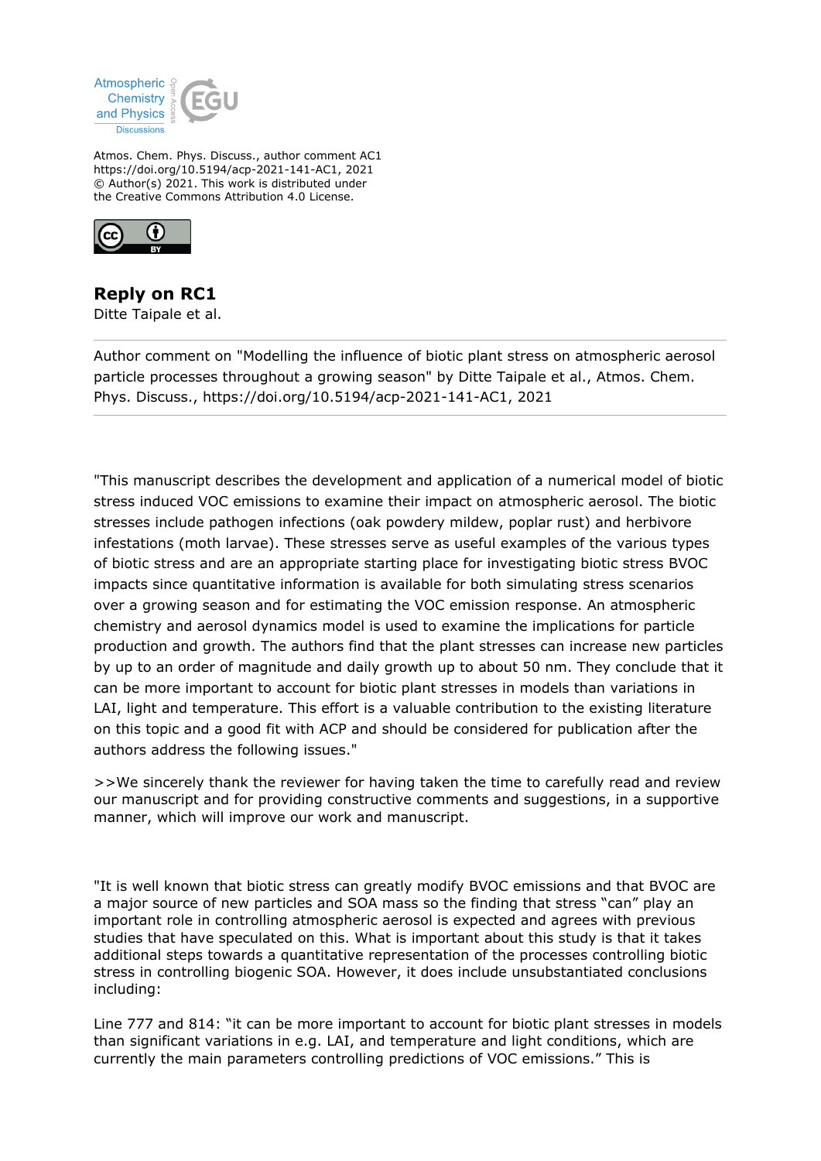

Atmos. Chem. Phys. Discuss., author comment AC1 https://doi.org/10.5194/acp-2021-141-AC1, 2021 © Author(s) 2021. This work is distributed under the Creative Commons Attribution 4.0 License.



## **Reply on RC1**

Ditte Taipale et al.

Author comment on "Modelling the influence of biotic plant stress on atmospheric aerosol particle processes throughout a growing season" by Ditte Taipale et al., Atmos. Chem. Phys. Discuss., https://doi.org/10.5194/acp-2021-141-AC1, 2021

"This manuscript describes the development and application of a numerical model of biotic stress induced VOC emissions to examine their impact on atmospheric aerosol. The biotic stresses include pathogen infections (oak powdery mildew, poplar rust) and herbivore infestations (moth larvae). These stresses serve as useful examples of the various types of biotic stress and are an appropriate starting place for investigating biotic stress BVOC impacts since quantitative information is available for both simulating stress scenarios over a growing season and for estimating the VOC emission response. An atmospheric chemistry and aerosol dynamics model is used to examine the implications for particle production and growth. The authors find that the plant stresses can increase new particles by up to an order of magnitude and daily growth up to about 50 nm. They conclude that it can be more important to account for biotic plant stresses in models than variations in LAI, light and temperature. This effort is a valuable contribution to the existing literature on this topic and a good fit with ACP and should be considered for publication after the authors address the following issues."

>>We sincerely thank the reviewer for having taken the time to carefully read and review our manuscript and for providing constructive comments and suggestions, in a supportive manner, which will improve our work and manuscript.

"It is well known that biotic stress can greatly modify BVOC emissions and that BVOC are a major source of new particles and SOA mass so the finding that stress "can" play an important role in controlling atmospheric aerosol is expected and agrees with previous studies that have speculated on this. What is important about this study is that it takes additional steps towards a quantitative representation of the processes controlling biotic stress in controlling biogenic SOA. However, it does include unsubstantiated conclusions including:

Line 777 and 814: "it can be more important to account for biotic plant stresses in models than significant variations in e.g. LAI, and temperature and light conditions, which are currently the main parameters controlling predictions of VOC emissions." This is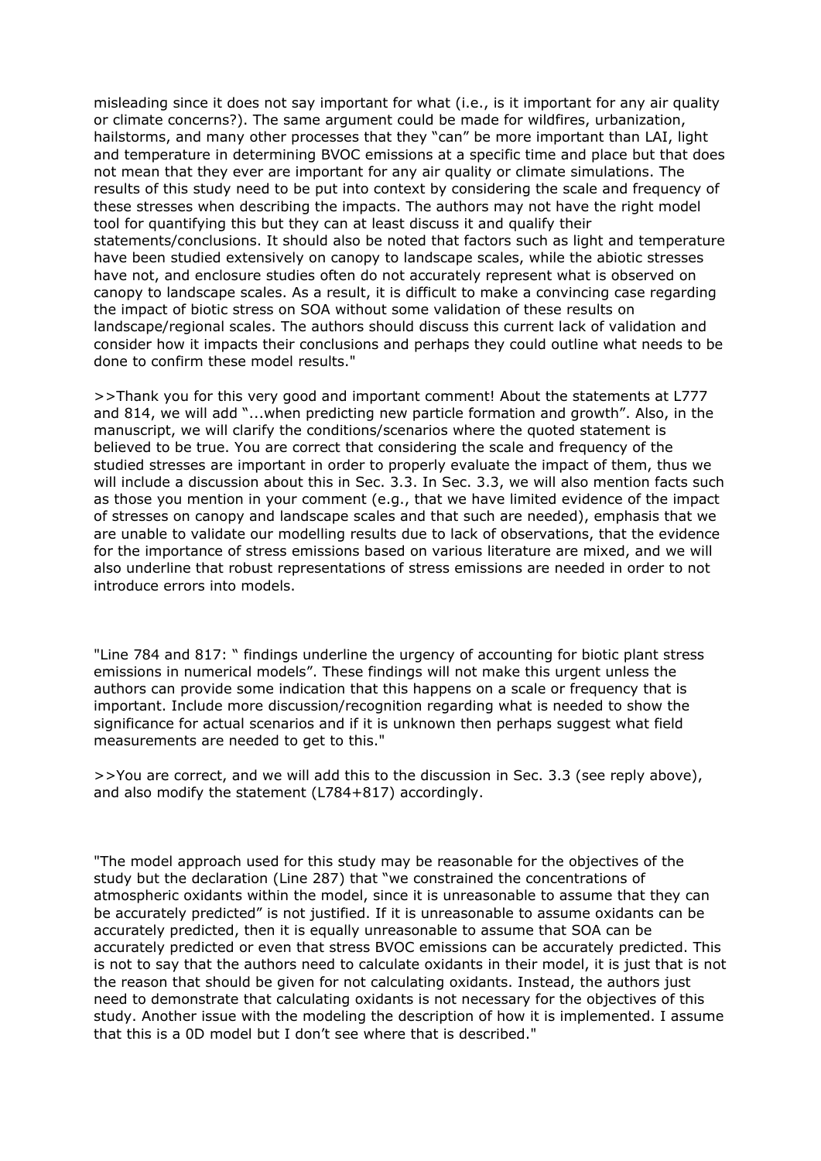misleading since it does not say important for what (i.e., is it important for any air quality or climate concerns?). The same argument could be made for wildfires, urbanization, hailstorms, and many other processes that they "can" be more important than LAI, light and temperature in determining BVOC emissions at a specific time and place but that does not mean that they ever are important for any air quality or climate simulations. The results of this study need to be put into context by considering the scale and frequency of these stresses when describing the impacts. The authors may not have the right model tool for quantifying this but they can at least discuss it and qualify their statements/conclusions. It should also be noted that factors such as light and temperature have been studied extensively on canopy to landscape scales, while the abiotic stresses have not, and enclosure studies often do not accurately represent what is observed on canopy to landscape scales. As a result, it is difficult to make a convincing case regarding the impact of biotic stress on SOA without some validation of these results on landscape/regional scales. The authors should discuss this current lack of validation and consider how it impacts their conclusions and perhaps they could outline what needs to be done to confirm these model results."

>>Thank you for this very good and important comment! About the statements at L777 and 814, we will add "...when predicting new particle formation and growth". Also, in the manuscript, we will clarify the conditions/scenarios where the quoted statement is believed to be true. You are correct that considering the scale and frequency of the studied stresses are important in order to properly evaluate the impact of them, thus we will include a discussion about this in Sec. 3.3. In Sec. 3.3, we will also mention facts such as those you mention in your comment (e.g., that we have limited evidence of the impact of stresses on canopy and landscape scales and that such are needed), emphasis that we are unable to validate our modelling results due to lack of observations, that the evidence for the importance of stress emissions based on various literature are mixed, and we will also underline that robust representations of stress emissions are needed in order to not introduce errors into models.

"Line 784 and 817: " findings underline the urgency of accounting for biotic plant stress emissions in numerical models". These findings will not make this urgent unless the authors can provide some indication that this happens on a scale or frequency that is important. Include more discussion/recognition regarding what is needed to show the significance for actual scenarios and if it is unknown then perhaps suggest what field measurements are needed to get to this."

>>You are correct, and we will add this to the discussion in Sec. 3.3 (see reply above), and also modify the statement (L784+817) accordingly.

"The model approach used for this study may be reasonable for the objectives of the study but the declaration (Line 287) that "we constrained the concentrations of atmospheric oxidants within the model, since it is unreasonable to assume that they can be accurately predicted" is not justified. If it is unreasonable to assume oxidants can be accurately predicted, then it is equally unreasonable to assume that SOA can be accurately predicted or even that stress BVOC emissions can be accurately predicted. This is not to say that the authors need to calculate oxidants in their model, it is just that is not the reason that should be given for not calculating oxidants. Instead, the authors just need to demonstrate that calculating oxidants is not necessary for the objectives of this study. Another issue with the modeling the description of how it is implemented. I assume that this is a 0D model but I don't see where that is described."